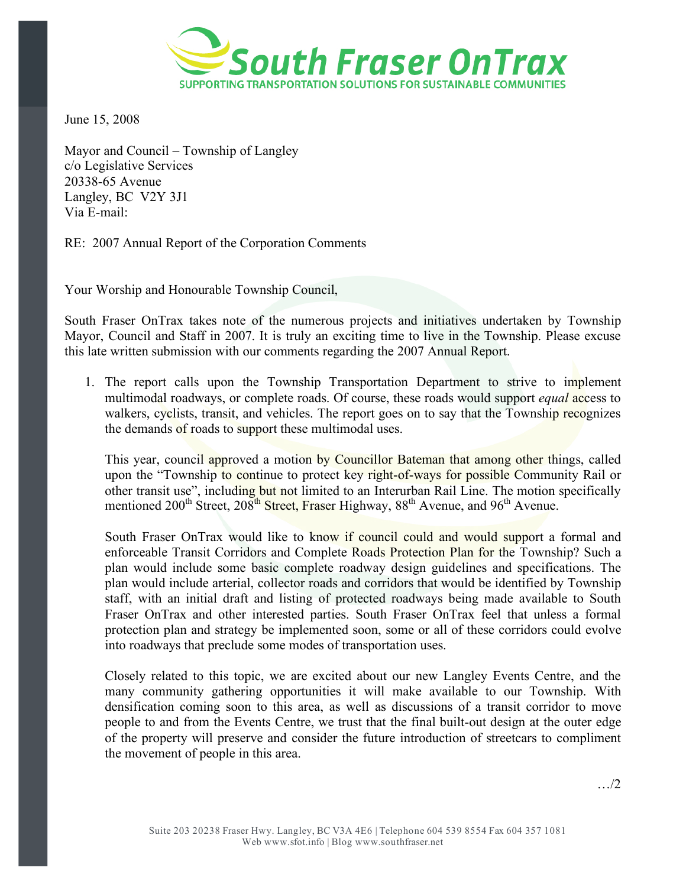

June 15, 2008

Mayor and Council – Township of Langley c/o Legislative Services 20338-65 Avenue Langley, BC V2Y 3J1 Via E-mail:

RE: 2007 Annual Report of the Corporation Comments

Your Worship and Honourable Township Council,

South Fraser OnTrax takes note of the numerous projects and initiatives undertaken by Township Mayor, Council and Staff in 2007. It is truly an exciting time to live in the Township. Please excuse this late written submission with our comments regarding the 2007 Annual Report.

1. The report calls upon the Township Transportation Department to strive to implement multimodal roadways, or complete roads. Of course, these roads would support *equal* access to walkers, cyclists, transit, and vehicles. The report goes on to say that the Township recognizes the demands of roads to support these multimodal uses.

This year, council approved a motion by Councillor Bateman that among other things, called upon the "Township to continue to protect key right-of-ways for possible Community Rail or other transit use", including but not limited to an Interurban Rail Line. The motion specifically mentioned 200<sup>th</sup> Street, 208<sup>th</sup> Street, Fraser Highway, 88<sup>th</sup> Avenue, and 96<sup>th</sup> Avenue.

South Fraser OnTrax would like to know if council could and would support a formal and enforceable Transit Corridors and Complete Roads Protection Plan for the Township? Such a plan would include some basic complete roadway design guidelines and specifications. The plan would include arterial, collector roads and corridors that would be identified by Township staff, with an initial draft and listing of protected roadways being made available to South Fraser OnTrax and other interested parties. South Fraser OnTrax feel that unless a formal protection plan and strategy be implemented soon, some or all of these corridors could evolve into roadways that preclude some modes of transportation uses.

Closely related to this topic, we are excited about our new Langley Events Centre, and the many community gathering opportunities it will make available to our Township. With densification coming soon to this area, as well as discussions of a transit corridor to move people to and from the Events Centre, we trust that the final built-out design at the outer edge of the property will preserve and consider the future introduction of streetcars to compliment the movement of people in this area.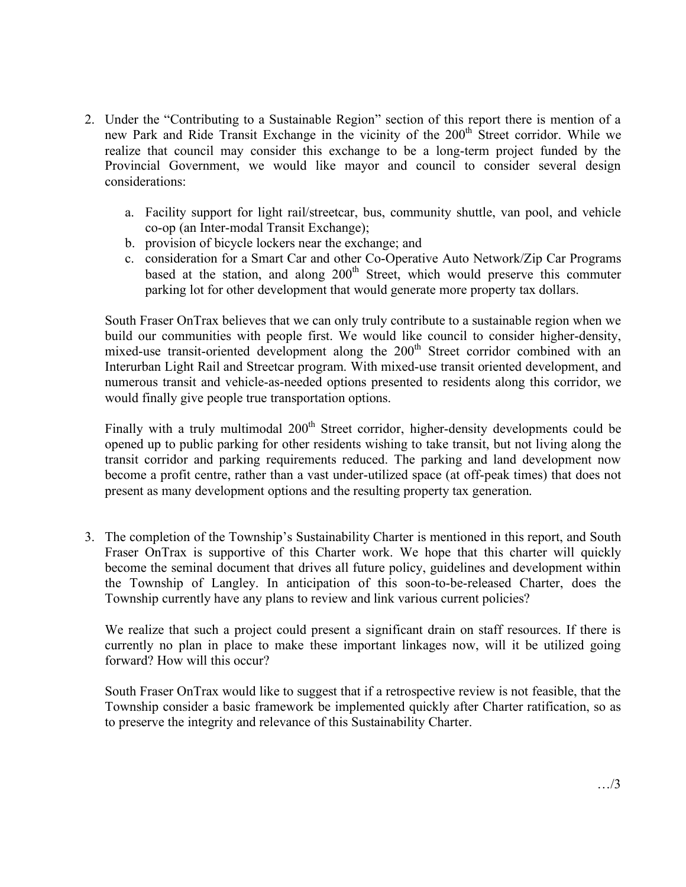- 2. Under the "Contributing to a Sustainable Region" section of this report there is mention of a new Park and Ride Transit Exchange in the vicinity of the 200<sup>th</sup> Street corridor. While we realize that council may consider this exchange to be a long-term project funded by the Provincial Government, we would like mayor and council to consider several design considerations:
	- a. Facility support for light rail/streetcar, bus, community shuttle, van pool, and vehicle co-op (an Inter-modal Transit Exchange);
	- b. provision of bicycle lockers near the exchange; and
	- c. consideration for a Smart Car and other Co-Operative Auto Network/Zip Car Programs based at the station, and along 200<sup>th</sup> Street, which would preserve this commuter parking lot for other development that would generate more property tax dollars.

South Fraser OnTrax believes that we can only truly contribute to a sustainable region when we build our communities with people first. We would like council to consider higher-density, mixed-use transit-oriented development along the 200<sup>th</sup> Street corridor combined with an Interurban Light Rail and Streetcar program. With mixed-use transit oriented development, and numerous transit and vehicle-as-needed options presented to residents along this corridor, we would finally give people true transportation options.

Finally with a truly multimodal 200<sup>th</sup> Street corridor, higher-density developments could be opened up to public parking for other residents wishing to take transit, but not living along the transit corridor and parking requirements reduced. The parking and land development now become a profit centre, rather than a vast under-utilized space (at off-peak times) that does not present as many development options and the resulting property tax generation.

3. The completion of the Township's Sustainability Charter is mentioned in this report, and South Fraser OnTrax is supportive of this Charter work. We hope that this charter will quickly become the seminal document that drives all future policy, guidelines and development within the Township of Langley. In anticipation of this soon-to-be-released Charter, does the Township currently have any plans to review and link various current policies?

We realize that such a project could present a significant drain on staff resources. If there is currently no plan in place to make these important linkages now, will it be utilized going forward? How will this occur?

South Fraser OnTrax would like to suggest that if a retrospective review is not feasible, that the Township consider a basic framework be implemented quickly after Charter ratification, so as to preserve the integrity and relevance of this Sustainability Charter.